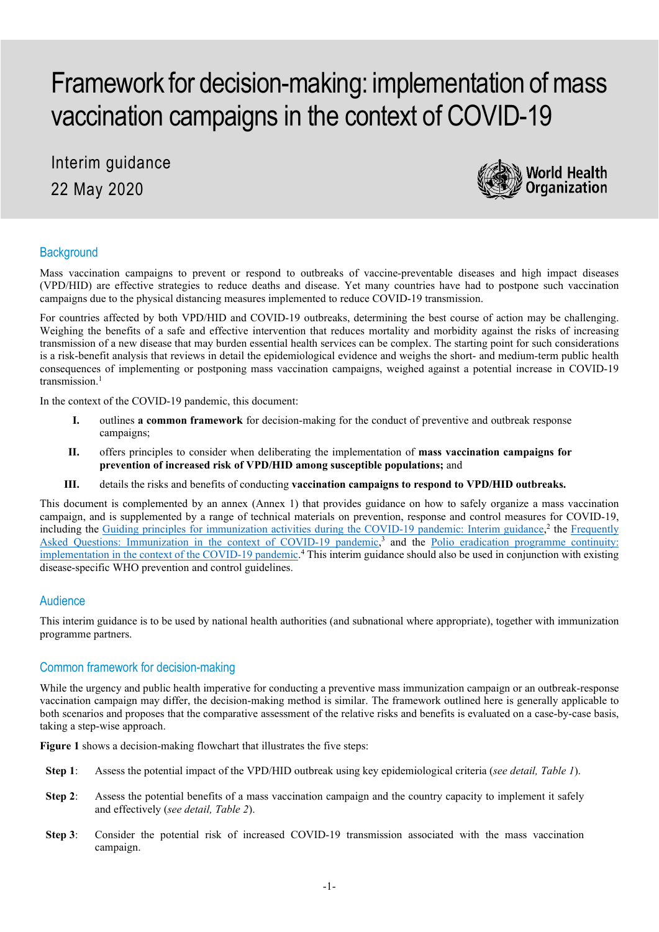# Framework for decision-making: implementation of mass vaccination campaigns in the context of COVID-19

Interim guidance 22 May 2020



# **Background**

Mass vaccination campaigns to prevent or respond to outbreaks of vaccine-preventable diseases and high impact diseases (VPD/HID) are effective strategies to reduce deaths and disease. Yet many countries have had to postpone such vaccination campaigns due to the physical distancing measures implemented to reduce COVID-19 transmission.

For countries affected by both VPD/HID and COVID-19 outbreaks, determining the best course of action may be challenging. Weighing the benefits of a safe and effective intervention that reduces mortality and morbidity against the risks of increasing transmission of a new disease that may burden essential health services can be complex. The starting point for such considerations is a risk-benefit analysis that reviews in detail the epidemiological evidence and weighs the short- and medium-term public health consequences of implementing or postponing mass vaccination campaigns, weighed against a potential increase in COVID-19 transmission.<sup>1</sup>

In the context of the COVID-19 pandemic, this document:

- **I.** outlines **a common framework** for decision-making for the conduct of preventive and outbreak response campaigns;
- **II.** offers principles to consider when deliberating the implementation of **mass vaccination campaigns for prevention of increased risk of VPD/HID among susceptible populations;** and
- **III.** details the risks and benefits of conducting **vaccination campaigns to respond to VPD/HID outbreaks.**

This document is complemented by an annex (Annex 1) that provides guidance on how to safely organize a mass vaccination campaign, and is supplemented by a range of technical materials on prevention, response and control measures for COVID-19, including the [Guiding principles for immunization activities during the COVID-19 pandemic: Interim guidance,](https://apps.who.int/iris/handle/10665/331590)<sup>2</sup> the Frequently [Asked Questions: Immunization in the context of COVID-19 pandemic,](https://apps.who.int/iris/handle/10665/331818)<sup>3</sup> and the Polio eradication programme continuity: [implementation in the context of the COVID-19 pandemic.](http://polioeradication.org/wp-content/uploads/2020/03/COVID-POL-programme-continuity-planning-20200325.pdf)<sup>4</sup> This interim guidance should also be used in conjunction with existing disease-specific WHO prevention and control guidelines.

## Audience

This interim guidance is to be used by national health authorities (and subnational where appropriate), together with immunization programme partners.

## Common framework for decision-making

While the urgency and public health imperative for conducting a preventive mass immunization campaign or an outbreak-response vaccination campaign may differ, the decision-making method is similar. The framework outlined here is generally applicable to both scenarios and proposes that the comparative assessment of the relative risks and benefits is evaluated on a case-by-case basis, taking a step-wise approach.

**Figure 1** shows a decision-making flowchart that illustrates the five steps:

- **Step 1**: Assess the potential impact of the VPD/HID outbreak using key epidemiological criteria (*see detail, Table 1*).
- **Step 2:** Assess the potential benefits of a mass vaccination campaign and the country capacity to implement it safely and effectively (*see detail, Table 2*).
- **Step 3**: Consider the potential risk of increased COVID-19 transmission associated with the mass vaccination campaign.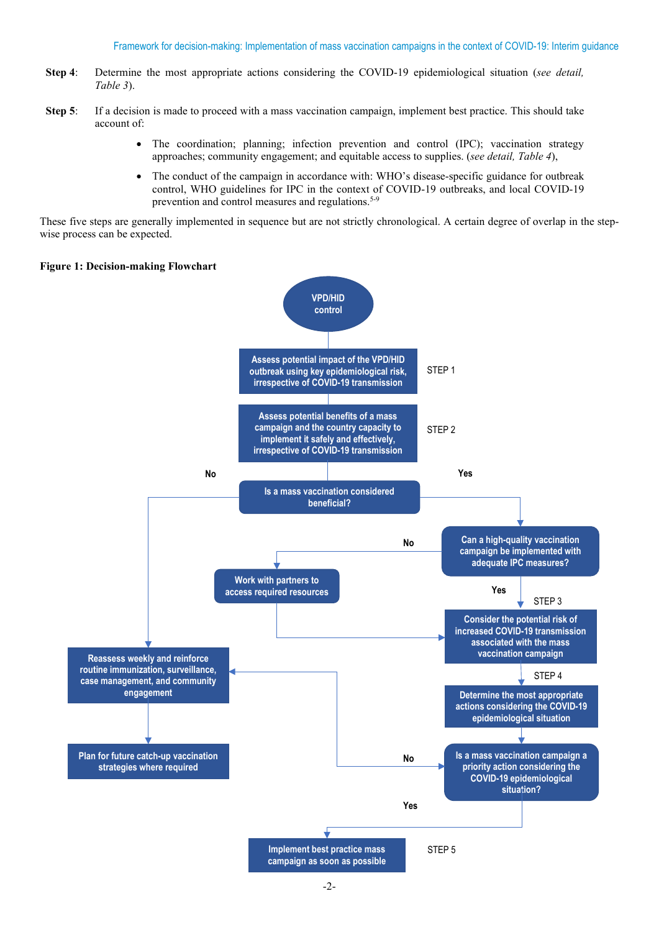- **Step 4**: Determine the most appropriate actions considering the COVID-19 epidemiological situation (*see detail, Table 3*).
- **Step 5**: If a decision is made to proceed with a mass vaccination campaign, implement best practice. This should take account of:
	- The coordination; planning; infection prevention and control (IPC); vaccination strategy approaches; community engagement; and equitable access to supplies. (*see detail, Table 4*),
	- The conduct of the campaign in accordance with: WHO's disease-specific guidance for outbreak control, WHO guidelines for IPC in the context of COVID-19 outbreaks, and local COVID-19 prevention and control measures and regulations.<sup>5-9</sup>

These five steps are generally implemented in sequence but are not strictly chronological. A certain degree of overlap in the stepwise process can be expected.

#### **Figure 1: Decision-making Flowchart**

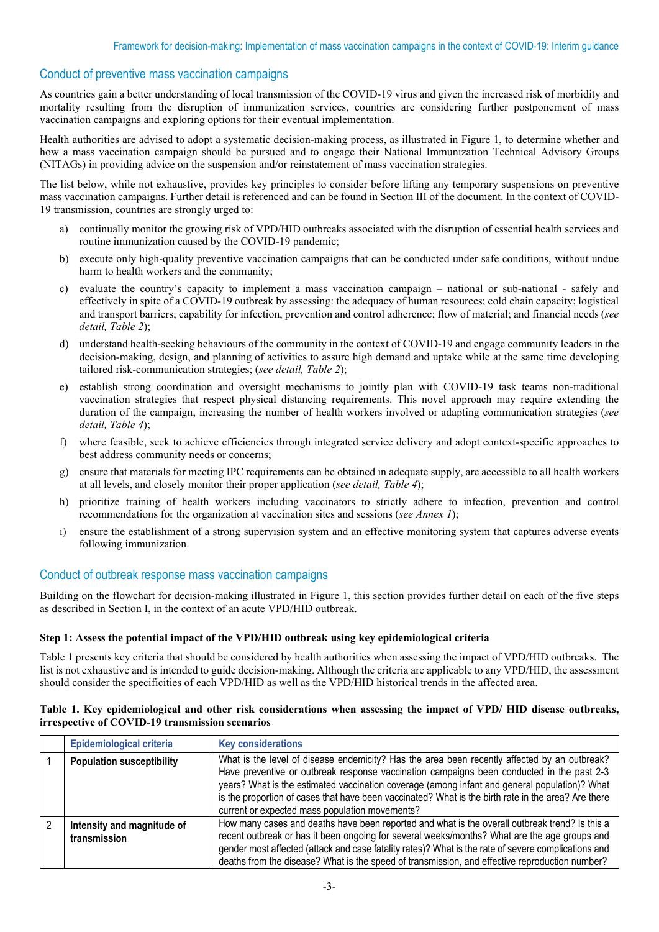# Conduct of preventive mass vaccination campaigns

As countries gain a better understanding of local transmission of the COVID-19 virus and given the increased risk of morbidity and mortality resulting from the disruption of immunization services, countries are considering further postponement of mass vaccination campaigns and exploring options for their eventual implementation.

Health authorities are advised to adopt a systematic decision-making process, as illustrated in Figure 1, to determine whether and how a mass vaccination campaign should be pursued and to engage their National Immunization Technical Advisory Groups (NITAGs) in providing advice on the suspension and/or reinstatement of mass vaccination strategies.

The list below, while not exhaustive, provides key principles to consider before lifting any temporary suspensions on preventive mass vaccination campaigns. Further detail is referenced and can be found in Section III of the document. In the context of COVID-19 transmission, countries are strongly urged to:

- a) continually monitor the growing risk of VPD/HID outbreaks associated with the disruption of essential health services and routine immunization caused by the COVID-19 pandemic;
- b) execute only high-quality preventive vaccination campaigns that can be conducted under safe conditions, without undue harm to health workers and the community;
- c) evaluate the country's capacity to implement a mass vaccination campaign national or sub-national safely and effectively in spite of a COVID-19 outbreak by assessing: the adequacy of human resources; cold chain capacity; logistical and transport barriers; capability for infection, prevention and control adherence; flow of material; and financial needs (*see detail, Table 2*);
- d) understand health-seeking behaviours of the community in the context of COVID-19 and engage community leaders in the decision-making, design, and planning of activities to assure high demand and uptake while at the same time developing tailored risk-communication strategies; (*see detail, Table 2*);
- e) establish strong coordination and oversight mechanisms to jointly plan with COVID-19 task teams non-traditional vaccination strategies that respect physical distancing requirements. This novel approach may require extending the duration of the campaign, increasing the number of health workers involved or adapting communication strategies (*see detail, Table 4*);
- f) where feasible, seek to achieve efficiencies through integrated service delivery and adopt context-specific approaches to best address community needs or concerns;
- g) ensure that materials for meeting IPC requirements can be obtained in adequate supply, are accessible to all health workers at all levels, and closely monitor their proper application (*see detail, Table 4*);
- h) prioritize training of health workers including vaccinators to strictly adhere to infection, prevention and control recommendations for the organization at vaccination sites and sessions (*see Annex 1*);
- i) ensure the establishment of a strong supervision system and an effective monitoring system that captures adverse events following immunization.

## Conduct of outbreak response mass vaccination campaigns

Building on the flowchart for decision-making illustrated in Figure 1, this section provides further detail on each of the five steps as described in Section I, in the context of an acute VPD/HID outbreak.

#### **Step 1: Assess the potential impact of the VPD/HID outbreak using key epidemiological criteria**

Table 1 presents key criteria that should be considered by health authorities when assessing the impact of VPD/HID outbreaks. The list is not exhaustive and is intended to guide decision-making. Although the criteria are applicable to any VPD/HID, the assessment should consider the specificities of each VPD/HID as well as the VPD/HID historical trends in the affected area.

| Epidemiological criteria                   | <b>Key considerations</b>                                                                                                                                                                                                                                                                                                                                                                                                                           |
|--------------------------------------------|-----------------------------------------------------------------------------------------------------------------------------------------------------------------------------------------------------------------------------------------------------------------------------------------------------------------------------------------------------------------------------------------------------------------------------------------------------|
| <b>Population susceptibility</b>           | What is the level of disease endemicity? Has the area been recently affected by an outbreak?<br>Have preventive or outbreak response vaccination campaigns been conducted in the past 2-3<br>years? What is the estimated vaccination coverage (among infant and general population)? What<br>is the proportion of cases that have been vaccinated? What is the birth rate in the area? Are there<br>current or expected mass population movements? |
| Intensity and magnitude of<br>transmission | How many cases and deaths have been reported and what is the overall outbreak trend? Is this a<br>recent outbreak or has it been ongoing for several weeks/months? What are the age groups and<br>gender most affected (attack and case fatality rates)? What is the rate of severe complications and<br>deaths from the disease? What is the speed of transmission, and effective reproduction number?                                             |

#### **Table 1. Key epidemiological and other risk considerations when assessing the impact of VPD/ HID disease outbreaks, irrespective of COVID-19 transmission scenarios**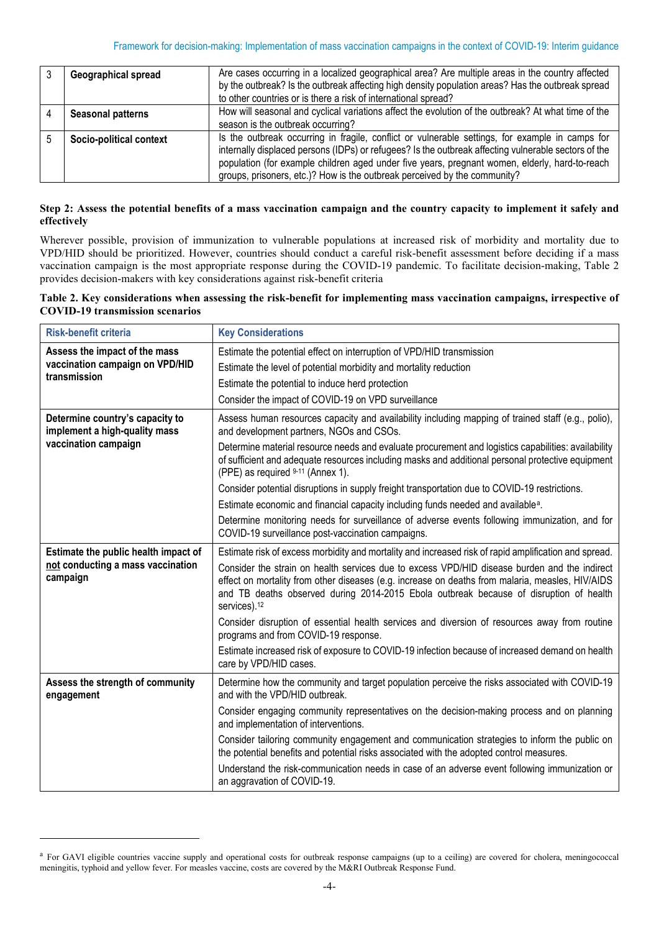| Geographical spread      | Are cases occurring in a localized geographical area? Are multiple areas in the country affected<br>by the outbreak? Is the outbreak affecting high density population areas? Has the outbreak spread<br>to other countries or is there a risk of international spread?                                                                                                                |
|--------------------------|----------------------------------------------------------------------------------------------------------------------------------------------------------------------------------------------------------------------------------------------------------------------------------------------------------------------------------------------------------------------------------------|
| <b>Seasonal patterns</b> | How will seasonal and cyclical variations affect the evolution of the outbreak? At what time of the<br>season is the outbreak occurring?                                                                                                                                                                                                                                               |
| Socio-political context  | Is the outbreak occurring in fragile, conflict or vulnerable settings, for example in camps for<br>internally displaced persons (IDPs) or refugees? Is the outbreak affecting vulnerable sectors of the<br>population (for example children aged under five years, pregnant women, elderly, hard-to-reach<br>groups, prisoners, etc.)? How is the outbreak perceived by the community? |

#### **Step 2: Assess the potential benefits of a mass vaccination campaign and the country capacity to implement it safely and effectively**

Wherever possible, provision of immunization to vulnerable populations at increased risk of morbidity and mortality due to VPD/HID should be prioritized. However, countries should conduct a careful risk-benefit assessment before deciding if a mass vaccination campaign is the most appropriate response during the COVID-19 pandemic. To facilitate decision-making, Table 2 provides decision-makers with key considerations against risk-benefit criteria

### **Table 2. Key considerations when assessing the risk-benefit for implementing mass vaccination campaigns, irrespective of COVID-19 transmission scenarios**

| <b>Risk-benefit criteria</b>                                     | <b>Key Considerations</b>                                                                                                                                                                                                                                                                                              |
|------------------------------------------------------------------|------------------------------------------------------------------------------------------------------------------------------------------------------------------------------------------------------------------------------------------------------------------------------------------------------------------------|
| Assess the impact of the mass                                    | Estimate the potential effect on interruption of VPD/HID transmission                                                                                                                                                                                                                                                  |
| vaccination campaign on VPD/HID<br>transmission                  | Estimate the level of potential morbidity and mortality reduction                                                                                                                                                                                                                                                      |
|                                                                  | Estimate the potential to induce herd protection                                                                                                                                                                                                                                                                       |
|                                                                  | Consider the impact of COVID-19 on VPD surveillance                                                                                                                                                                                                                                                                    |
| Determine country's capacity to<br>implement a high-quality mass | Assess human resources capacity and availability including mapping of trained staff (e.g., polio),<br>and development partners, NGOs and CSOs.                                                                                                                                                                         |
| vaccination campaign                                             | Determine material resource needs and evaluate procurement and logistics capabilities: availability<br>of sufficient and adequate resources including masks and additional personal protective equipment<br>(PPE) as required 9-11 (Annex 1).                                                                          |
|                                                                  | Consider potential disruptions in supply freight transportation due to COVID-19 restrictions.                                                                                                                                                                                                                          |
|                                                                  | Estimate economic and financial capacity including funds needed and available <sup>a</sup> .                                                                                                                                                                                                                           |
|                                                                  | Determine monitoring needs for surveillance of adverse events following immunization, and for<br>COVID-19 surveillance post-vaccination campaigns.                                                                                                                                                                     |
| Estimate the public health impact of                             | Estimate risk of excess morbidity and mortality and increased risk of rapid amplification and spread.                                                                                                                                                                                                                  |
| not conducting a mass vaccination<br>campaign                    | Consider the strain on health services due to excess VPD/HID disease burden and the indirect<br>effect on mortality from other diseases (e.g. increase on deaths from malaria, measles, HIV/AIDS<br>and TB deaths observed during 2014-2015 Ebola outbreak because of disruption of health<br>services). <sup>12</sup> |
|                                                                  | Consider disruption of essential health services and diversion of resources away from routine<br>programs and from COVID-19 response.                                                                                                                                                                                  |
|                                                                  | Estimate increased risk of exposure to COVID-19 infection because of increased demand on health<br>care by VPD/HID cases.                                                                                                                                                                                              |
| Assess the strength of community<br>engagement                   | Determine how the community and target population perceive the risks associated with COVID-19<br>and with the VPD/HID outbreak.                                                                                                                                                                                        |
|                                                                  | Consider engaging community representatives on the decision-making process and on planning<br>and implementation of interventions.                                                                                                                                                                                     |
|                                                                  | Consider tailoring community engagement and communication strategies to inform the public on<br>the potential benefits and potential risks associated with the adopted control measures.                                                                                                                               |
|                                                                  | Understand the risk-communication needs in case of an adverse event following immunization or<br>an aggravation of COVID-19.                                                                                                                                                                                           |

<span id="page-3-0"></span><sup>&</sup>lt;sup>a</sup> For GAVI eligible countries vaccine supply and operational costs for outbreak response campaigns (up to a ceiling) are covered for cholera, meningococcal meningitis, typhoid and yellow fever. For measles vaccine, costs are covered by the M&RI Outbreak Response Fund.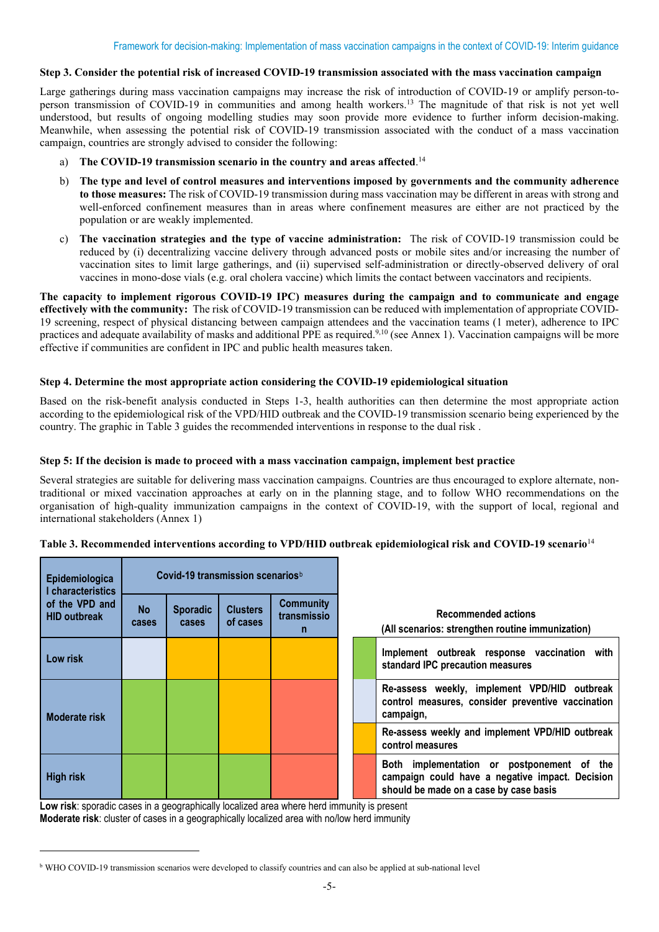#### **Step 3. Consider the potential risk of increased COVID-19 transmission associated with the mass vaccination campaign**

Large gatherings during mass vaccination campaigns may increase the risk of introduction of COVID-19 or amplify person-toperson transmission of COVID-19 in communities and among health workers.13 The magnitude of that risk is not yet well understood, but results of ongoing modelling studies may soon provide more evidence to further inform decision-making. Meanwhile, when assessing the potential risk of COVID-19 transmission associated with the conduct of a mass vaccination campaign, countries are strongly advised to consider the following:

- a) The COVID-19 transmission scenario in the country and areas affected.<sup>14</sup>
- b) **The type and level of control measures and interventions imposed by governments and the community adherence to those measures:** The risk of COVID-19 transmission during mass vaccination may be different in areas with strong and well-enforced confinement measures than in areas where confinement measures are either are not practiced by the population or are weakly implemented.
- c) **The vaccination strategies and the type of vaccine administration:** The risk of COVID-19 transmission could be reduced by (i) decentralizing vaccine delivery through advanced posts or mobile sites and/or increasing the number of vaccination sites to limit large gatherings, and (ii) supervised self-administration or directly-observed delivery of oral vaccines in mono-dose vials (e.g. oral cholera vaccine) which limits the contact between vaccinators and recipients.

**The capacity to implement rigorous COVID-19 IPC) measures during the campaign and to communicate and engage effectively with the community:** The risk of COVID-19 transmission can be reduced with implementation of appropriate COVID-19 screening, respect of physical distancing between campaign attendees and the vaccination teams (1 meter), adherence to IPC practices and adequate availability of masks and additional PPE as required.<sup>9,10</sup> (see Annex 1). Vaccination campaigns will be more effective if communities are confident in IPC and public health measures taken.

#### **Step 4. Determine the most appropriate action considering the COVID-19 epidemiological situation**

Based on the risk-benefit analysis conducted in Steps 1-3, health authorities can then determine the most appropriate action according to the epidemiological risk of the VPD/HID outbreak and the COVID-19 transmission scenario being experienced by the country. The graphic in Table 3 guides the recommended interventions in response to the dual risk .

#### **Step 5: If the decision is made to proceed with a mass vaccination campaign, implement best practice**

Several strategies are suitable for delivering mass vaccination campaigns. Countries are thus encouraged to explore alternate, nontraditional or mixed vaccination approaches at early on in the planning stage, and to follow WHO recommendations on the organisation of high-quality immunization campaigns in the context of COVID-19, with the support of local, regional and international stakeholders (Annex 1)

| Epidemiologica<br>I characteristics   | Covid-19 transmission scenarios <sup>b</sup> |                          |                             |                                      |                                                                                  |                                                                                                                                         |
|---------------------------------------|----------------------------------------------|--------------------------|-----------------------------|--------------------------------------|----------------------------------------------------------------------------------|-----------------------------------------------------------------------------------------------------------------------------------------|
| of the VPD and<br><b>HID outbreak</b> | <b>No</b><br><b>cases</b>                    | <b>Sporadic</b><br>cases | <b>Clusters</b><br>of cases | <b>Community</b><br>transmissio<br>n | <b>Recommended actions</b><br>(All scenarios: strengthen routine immunization)   |                                                                                                                                         |
| Low risk                              |                                              |                          |                             |                                      | Implement outbreak response vaccination with<br>standard IPC precaution measures |                                                                                                                                         |
| <b>Moderate risk</b>                  |                                              |                          |                             |                                      |                                                                                  | Re-assess weekly, implement VPD/HID outbreak<br>control measures, consider preventive vaccination<br>campaign,                          |
|                                       |                                              |                          |                             |                                      |                                                                                  | Re-assess weekly and implement VPD/HID outbreak<br>control measures                                                                     |
| <b>High risk</b>                      |                                              |                          |                             |                                      |                                                                                  | Both implementation or postponement of the<br>campaign could have a negative impact. Decision<br>should be made on a case by case basis |

#### **Table 3. Recommended interventions according to VPD/HID outbreak epidemiological risk and COVID-19 scenario**<sup>14</sup>

**Low risk**: sporadic cases in a geographically localized area where herd immunity is present **Moderate risk**: cluster of cases in a geographically localized area with no/low herd immunity

<span id="page-4-0"></span><sup>b</sup> WHO COVID-19 transmission scenarios were developed to classify countries and can also be applied at sub-national level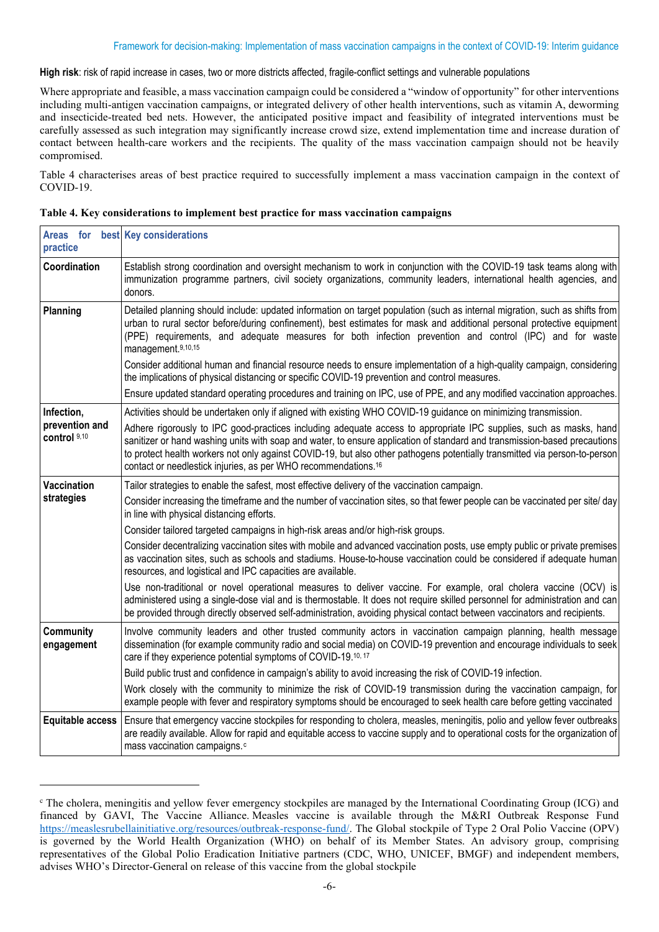**High risk**: risk of rapid increase in cases, two or more districts affected, fragile-conflict settings and vulnerable populations

Where appropriate and feasible, a mass vaccination campaign could be considered a "window of opportunity" for other interventions including multi-antigen vaccination campaigns, or integrated delivery of other health interventions, such as vitamin A, deworming and insecticide-treated bed nets. However, the anticipated positive impact and feasibility of integrated interventions must be carefully assessed as such integration may significantly increase crowd size, extend implementation time and increase duration of contact between health-care workers and the recipients. The quality of the mass vaccination campaign should not be heavily compromised.

Table 4 characterises areas of best practice required to successfully implement a mass vaccination campaign in the context of COVID-19.

| practice                       | Areas for best Key considerations                                                                                                                                                                                                                                                                                                                                                                                                                           |
|--------------------------------|-------------------------------------------------------------------------------------------------------------------------------------------------------------------------------------------------------------------------------------------------------------------------------------------------------------------------------------------------------------------------------------------------------------------------------------------------------------|
| Coordination                   | Establish strong coordination and oversight mechanism to work in conjunction with the COVID-19 task teams along with<br>immunization programme partners, civil society organizations, community leaders, international health agencies, and<br>donors.                                                                                                                                                                                                      |
| Planning                       | Detailed planning should include: updated information on target population (such as internal migration, such as shifts from<br>urban to rural sector before/during confinement), best estimates for mask and additional personal protective equipment<br>(PPE) requirements, and adequate measures for both infection prevention and control (IPC) and for waste<br>management.9,10,15                                                                      |
|                                | Consider additional human and financial resource needs to ensure implementation of a high-quality campaign, considering<br>the implications of physical distancing or specific COVID-19 prevention and control measures.                                                                                                                                                                                                                                    |
|                                | Ensure updated standard operating procedures and training on IPC, use of PPE, and any modified vaccination approaches.                                                                                                                                                                                                                                                                                                                                      |
| Infection,                     | Activities should be undertaken only if aligned with existing WHO COVID-19 guidance on minimizing transmission.                                                                                                                                                                                                                                                                                                                                             |
| prevention and<br>control 9,10 | Adhere rigorously to IPC good-practices including adequate access to appropriate IPC supplies, such as masks, hand<br>sanitizer or hand washing units with soap and water, to ensure application of standard and transmission-based precautions<br>to protect health workers not only against COVID-19, but also other pathogens potentially transmitted via person-to-person<br>contact or needlestick injuries, as per WHO recommendations. <sup>16</sup> |
| <b>Vaccination</b>             | Tailor strategies to enable the safest, most effective delivery of the vaccination campaign.                                                                                                                                                                                                                                                                                                                                                                |
| strategies                     | Consider increasing the timeframe and the number of vaccination sites, so that fewer people can be vaccinated per site/day<br>in line with physical distancing efforts.                                                                                                                                                                                                                                                                                     |
|                                | Consider tailored targeted campaigns in high-risk areas and/or high-risk groups.                                                                                                                                                                                                                                                                                                                                                                            |
|                                | Consider decentralizing vaccination sites with mobile and advanced vaccination posts, use empty public or private premises<br>as vaccination sites, such as schools and stadiums. House-to-house vaccination could be considered if adequate human<br>resources, and logistical and IPC capacities are available.                                                                                                                                           |
|                                | Use non-traditional or novel operational measures to deliver vaccine. For example, oral cholera vaccine (OCV) is<br>administered using a single-dose vial and is thermostable. It does not require skilled personnel for administration and can<br>be provided through directly observed self-administration, avoiding physical contact between vaccinators and recipients.                                                                                 |
| Community<br>engagement        | Involve community leaders and other trusted community actors in vaccination campaign planning, health message<br>dissemination (for example community radio and social media) on COVID-19 prevention and encourage individuals to seek<br>care if they experience potential symptoms of COVID-19.10, 17                                                                                                                                                     |
|                                | Build public trust and confidence in campaign's ability to avoid increasing the risk of COVID-19 infection.                                                                                                                                                                                                                                                                                                                                                 |
|                                | Work closely with the community to minimize the risk of COVID-19 transmission during the vaccination campaign, for<br>example people with fever and respiratory symptoms should be encouraged to seek health care before getting vaccinated                                                                                                                                                                                                                 |
| <b>Equitable access</b>        | Ensure that emergency vaccine stockpiles for responding to cholera, measles, meningitis, polio and yellow fever outbreaks<br>are readily available. Allow for rapid and equitable access to vaccine supply and to operational costs for the organization of<br>mass vaccination campaigns. <sup>c</sup>                                                                                                                                                     |

| Table 4. Key considerations to implement best practice for mass vaccination campaigns |  |  |  |  |
|---------------------------------------------------------------------------------------|--|--|--|--|
|---------------------------------------------------------------------------------------|--|--|--|--|

<span id="page-5-0"></span><sup>c</sup> The cholera, meningitis and yellow fever emergency stockpiles are managed by the International Coordinating Group (ICG) and financed by GAVI, The Vaccine Alliance. Measles vaccine is available through the M&RI Outbreak Response Fund [https://measlesrubellainitiative.org/resources/outbreak-response-fund/.](https://measlesrubellainitiative.org/resources/outbreak-response-fund/) The Global stockpile of Type 2 Oral Polio Vaccine (OPV) is governed by the World Health Organization (WHO) on behalf of its Member States. An advisory group, comprising representatives of the Global Polio Eradication Initiative partners (CDC, WHO, UNICEF, BMGF) and independent members, advises WHO's Director-General on release of this vaccine from the global stockpile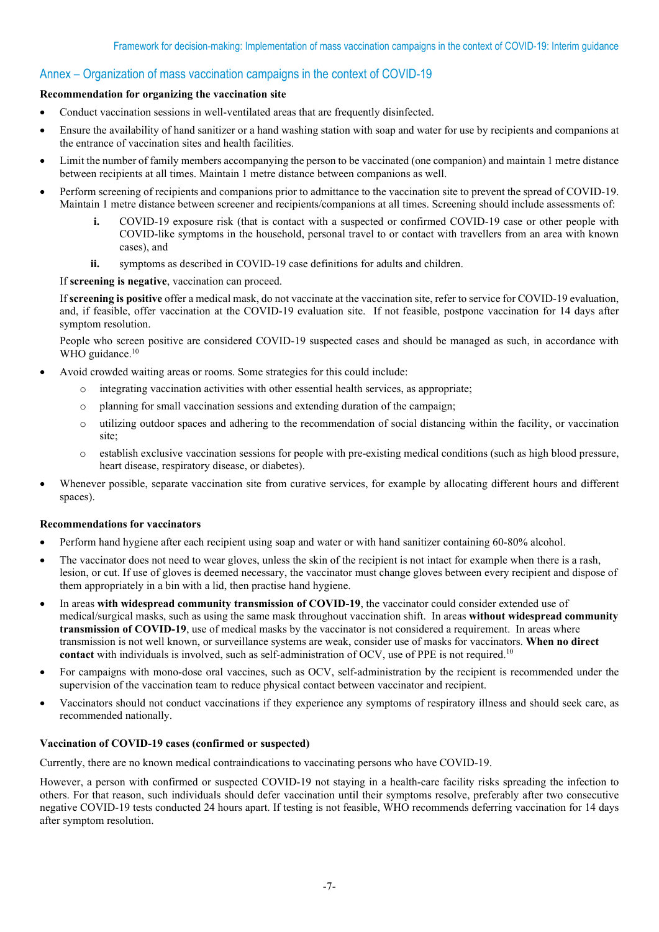# Annex – Organization of mass vaccination campaigns in the context of COVID-19

#### **Recommendation for organizing the vaccination site**

- Conduct vaccination sessions in well-ventilated areas that are frequently disinfected.
- Ensure the availability of hand sanitizer or a hand washing station with soap and water for use by recipients and companions at the entrance of vaccination sites and health facilities.
- Limit the number of family members accompanying the person to be vaccinated (one companion) and maintain 1 metre distance between recipients at all times. Maintain 1 metre distance between companions as well.
- Perform screening of recipients and companions prior to admittance to the vaccination site to prevent the spread of COVID-19. Maintain 1 metre distance between screener and recipients/companions at all times. Screening should include assessments of:
	- **i.** COVID-19 exposure risk (that is contact with a suspected or confirmed COVID-19 case or other people with COVID-like symptoms in the household, personal travel to or contact with travellers from an area with known cases), and
	- **ii.** symptoms as described in COVID-19 case definitions for adults and children.

If **screening is negative**, vaccination can proceed.

If **screening is positive** offer a medical mask, do not vaccinate at the vaccination site, refer to service for COVID-19 evaluation, and, if feasible, offer vaccination at the COVID-19 evaluation site. If not feasible, postpone vaccination for 14 days after symptom resolution.

People who screen positive are considered COVID-19 suspected cases and should be managed as such, in accordance with WHO guidance.<sup>10</sup>

- Avoid crowded waiting areas or rooms. Some strategies for this could include:
	- o integrating vaccination activities with other essential health services, as appropriate;
	- o planning for small vaccination sessions and extending duration of the campaign;
	- o utilizing outdoor spaces and adhering to the recommendation of social distancing within the facility, or vaccination site;
	- o establish exclusive vaccination sessions for people with pre-existing medical conditions (such as high blood pressure, heart disease, respiratory disease, or diabetes).
- Whenever possible, separate vaccination site from curative services, for example by allocating different hours and different spaces).

#### **Recommendations for vaccinators**

- Perform hand hygiene after each recipient using soap and water or with hand sanitizer containing 60-80% alcohol.
- The vaccinator does not need to wear gloves, unless the skin of the recipient is not intact for example when there is a rash, lesion, or cut. If use of gloves is deemed necessary, the vaccinator must change gloves between every recipient and dispose of them appropriately in a bin with a lid, then practise hand hygiene.
- In areas **with widespread community transmission of COVID-19**, the vaccinator could consider extended use of medical/surgical masks, such as using the same mask throughout vaccination shift. In areas **without widespread community transmission of COVID-19**, use of medical masks by the vaccinator is not considered a requirement. In areas where transmission is not well known, or surveillance systems are weak, consider use of masks for vaccinators. **When no direct contact** with individuals is involved, such as self-administration of OCV, use of PPE is not required.<sup>10</sup>
- For campaigns with mono-dose oral vaccines, such as OCV, self-administration by the recipient is recommended under the supervision of the vaccination team to reduce physical contact between vaccinator and recipient.
- Vaccinators should not conduct vaccinations if they experience any symptoms of respiratory illness and should seek care, as recommended nationally.

#### **Vaccination of COVID-19 cases (confirmed or suspected)**

Currently, there are no known medical contraindications to vaccinating persons who have COVID-19.

However, a person with confirmed or suspected COVID-19 not staying in a health-care facility risks spreading the infection to others. For that reason, such individuals should defer vaccination until their symptoms resolve, preferably after two consecutive negative COVID-19 tests conducted 24 hours apart. If testing is not feasible, WHO recommends deferring vaccination for 14 days after symptom resolution.